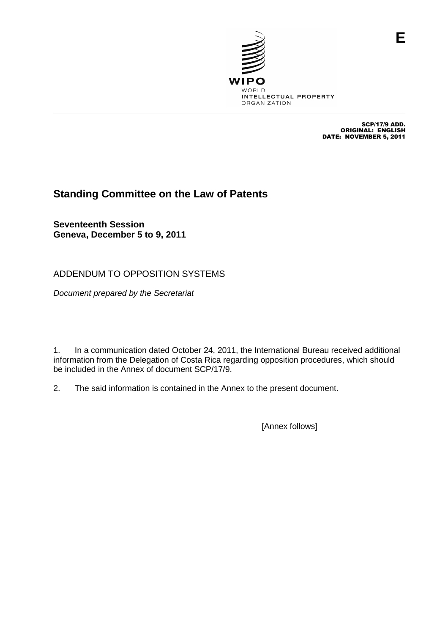

SCP/17/9 ADD. ORIGINAL: ENGLISH DATE: NOVEMBER 5, 2011

**E**

## **Standing Committee on the Law of Patents**

**Seventeenth Session Geneva, December 5 to 9, 2011**

ADDENDUM TO OPPOSITION SYSTEMS

Document prepared by the Secretariat

1. In a communication dated October 24, 2011, the International Bureau received additional information from the Delegation of Costa Rica regarding opposition procedures, which should be included in the Annex of document SCP/17/9.

2. The said information is contained in the Annex to the present document.

[Annex follows]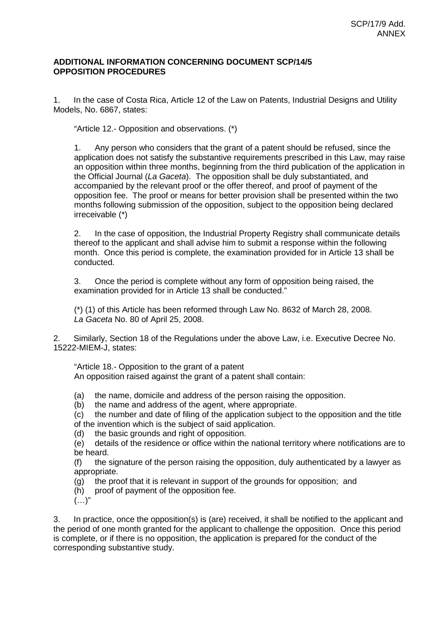## **ADDITIONAL INFORMATION CONCERNING DOCUMENT SCP/14/5 OPPOSITION PROCEDURES**

1. In the case of Costa Rica, Article 12 of the Law on Patents, Industrial Designs and Utility Models, No. 6867, states:

"Article 12.- Opposition and observations. (\*)

1. Any person who considers that the grant of a patent should be refused, since the application does not satisfy the substantive requirements prescribed in this Law, may raise an opposition within three months, beginning from the third publication of the application in the Official Journal (La Gaceta). The opposition shall be duly substantiated, and accompanied by the relevant proof or the offer thereof, and proof of payment of the opposition fee. The proof or means for better provision shall be presented within the two months following submission of the opposition, subject to the opposition being declared irreceivable (\*)

2. In the case of opposition, the Industrial Property Registry shall communicate details thereof to the applicant and shall advise him to submit a response within the following month. Once this period is complete, the examination provided for in Article 13 shall be conducted.

3. Once the period is complete without any form of opposition being raised, the examination provided for in Article 13 shall be conducted."

(\*) (1) of this Article has been reformed through Law No. 8632 of March 28, 2008. La Gaceta No. 80 of April 25, 2008.

2. Similarly, Section 18 of the Regulations under the above Law, i.e. Executive Decree No. 15222-MIEM-J, states:

"Article 18.- Opposition to the grant of a patent An opposition raised against the grant of a patent shall contain:

(a) the name, domicile and address of the person raising the opposition.

(b) the name and address of the agent, where appropriate.

(c) the number and date of filing of the application subject to the opposition and the title of the invention which is the subject of said application.

(d) the basic grounds and right of opposition.

(e) details of the residence or office within the national territory where notifications are to be heard.

(f) the signature of the person raising the opposition, duly authenticated by a lawyer as appropriate.

(g) the proof that it is relevant in support of the grounds for opposition; and

(h) proof of payment of the opposition fee.

 $(\ldots)$ "

3. In practice, once the opposition(s) is (are) received, it shall be notified to the applicant and the period of one month granted for the applicant to challenge the opposition. Once this period is complete, or if there is no opposition, the application is prepared for the conduct of the corresponding substantive study.